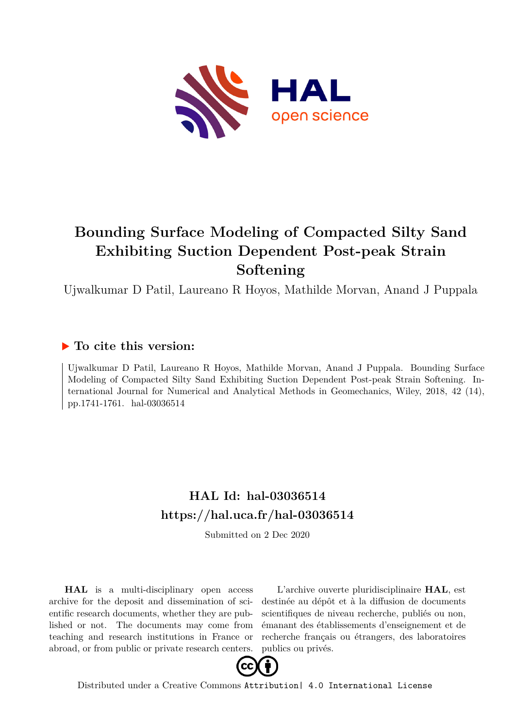

# **Bounding Surface Modeling of Compacted Silty Sand Exhibiting Suction Dependent Post-peak Strain Softening**

Ujwalkumar D Patil, Laureano R Hoyos, Mathilde Morvan, Anand J Puppala

## **To cite this version:**

Ujwalkumar D Patil, Laureano R Hoyos, Mathilde Morvan, Anand J Puppala. Bounding Surface Modeling of Compacted Silty Sand Exhibiting Suction Dependent Post-peak Strain Softening. International Journal for Numerical and Analytical Methods in Geomechanics, Wiley, 2018, 42 (14), pp.1741-1761. hal-03036514

# **HAL Id: hal-03036514 <https://hal.uca.fr/hal-03036514>**

Submitted on 2 Dec 2020

**HAL** is a multi-disciplinary open access archive for the deposit and dissemination of scientific research documents, whether they are published or not. The documents may come from teaching and research institutions in France or abroad, or from public or private research centers.

L'archive ouverte pluridisciplinaire **HAL**, est destinée au dépôt et à la diffusion de documents scientifiques de niveau recherche, publiés ou non, émanant des établissements d'enseignement et de recherche français ou étrangers, des laboratoires publics ou privés.



Distributed under a Creative Commons [Attribution| 4.0 International License](http://creativecommons.org/licenses/by/4.0/)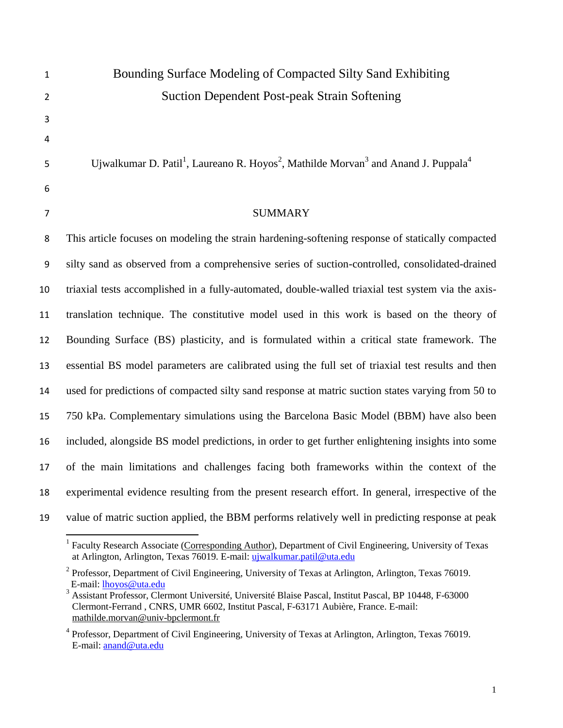# Bounding Surface Modeling of Compacted Silty Sand Exhibiting Suction Dependent Post-peak Strain Softening

Ujwalkumar D. Patil<sup>1</sup>, Laureano R. Hoyos<sup>2</sup>, Mathilde Morvan<sup>3</sup> and Anand J. Puppala<sup>4</sup>

### SUMMARY

 This article focuses on modeling the strain hardening-softening response of statically compacted silty sand as observed from a comprehensive series of suction-controlled, consolidated-drained triaxial tests accomplished in a fully-automated, double-walled triaxial test system via the axis- translation technique. The constitutive model used in this work is based on the theory of Bounding Surface (BS) plasticity, and is formulated within a critical state framework. The essential BS model parameters are calibrated using the full set of triaxial test results and then used for predictions of compacted silty sand response at matric suction states varying from 50 to 750 kPa. Complementary simulations using the Barcelona Basic Model (BBM) have also been included, alongside BS model predictions, in order to get further enlightening insights into some of the main limitations and challenges facing both frameworks within the context of the experimental evidence resulting from the present research effort. In general, irrespective of the value of matric suction applied, the BBM performs relatively well in predicting response at peak

l <sup>1</sup> Faculty Research Associate (Corresponding Author), Department of Civil Engineering, University of Texas at Arlington, Arlington, Texas 76019. E-mail: [ujwalkumar.patil@uta.edu](mailto:ujwalkumar.patil@uta.edu)

 Professor, Department of Civil Engineering, University of Texas at Arlington, Arlington, Texas 76019. E-mail: [lhoyos@uta.edu](mailto:lhoyos@uta.edu)

<sup>&</sup>lt;sup>3</sup> Assistant Professor, Clermont Université, Université Blaise Pascal, Institut Pascal, BP 10448, F-63000 Clermont-Ferrand , CNRS, UMR 6602, Institut Pascal, F-63171 Aubière, France. E-mail: [mathilde.morvan@univ-bpclermont.fr](mailto:mathilde.morvan@univ-bpclermont.fr)

<sup>&</sup>lt;sup>4</sup> Professor, Department of Civil Engineering, University of Texas at Arlington, Arlington, Texas 76019. E-mail: [anand@uta.edu](mailto:anand@uta.edu)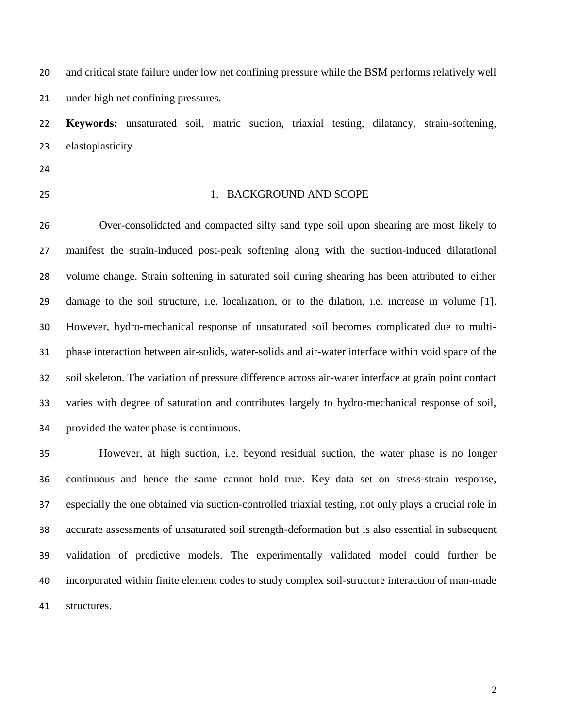and critical state failure under low net confining pressure while the BSM performs relatively well under high net confining pressures.

 **Keywords:** unsaturated soil, matric suction, triaxial testing, dilatancy, strain-softening, elastoplasticity

- 
- 

#### 1. BACKGROUND AND SCOPE

 Over-consolidated and compacted silty sand type soil upon shearing are most likely to manifest the strain-induced post-peak softening along with the suction-induced dilatational volume change. Strain softening in saturated soil during shearing has been attributed to either damage to the soil structure, i.e. localization, or to the dilation, i.e. increase in volume [1]. However, hydro-mechanical response of unsaturated soil becomes complicated due to multi- phase interaction between air-solids, water-solids and air-water interface within void space of the soil skeleton. The variation of pressure difference across air-water interface at grain point contact varies with degree of saturation and contributes largely to hydro-mechanical response of soil, provided the water phase is continuous.

 However, at high suction, i.e. beyond residual suction, the water phase is no longer continuous and hence the same cannot hold true. Key data set on stress-strain response, especially the one obtained via suction-controlled triaxial testing, not only plays a crucial role in accurate assessments of unsaturated soil strength-deformation but is also essential in subsequent validation of predictive models. The experimentally validated model could further be incorporated within finite element codes to study complex soil-structure interaction of man-made structures.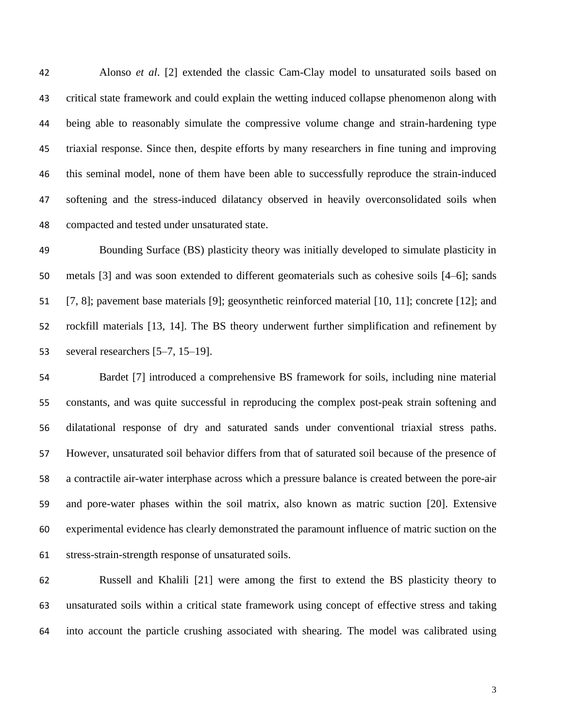Alonso *et al*. [2] extended the classic Cam-Clay model to unsaturated soils based on critical state framework and could explain the wetting induced collapse phenomenon along with being able to reasonably simulate the compressive volume change and strain-hardening type triaxial response. Since then, despite efforts by many researchers in fine tuning and improving this seminal model, none of them have been able to successfully reproduce the strain-induced softening and the stress-induced dilatancy observed in heavily overconsolidated soils when compacted and tested under unsaturated state.

 Bounding Surface (BS) plasticity theory was initially developed to simulate plasticity in 50 metals [3] and was soon extended to different geomaterials such as cohesive soils [4–6]; sands [7, 8]; pavement base materials [9]; geosynthetic reinforced material [10, 11]; concrete [12]; and rockfill materials [13, 14]. The BS theory underwent further simplification and refinement by 53 several researchers [5–7, 15–19].

 Bardet [7] introduced a comprehensive BS framework for soils, including nine material constants, and was quite successful in reproducing the complex post-peak strain softening and dilatational response of dry and saturated sands under conventional triaxial stress paths. However, unsaturated soil behavior differs from that of saturated soil because of the presence of a contractile air-water interphase across which a pressure balance is created between the pore-air and pore-water phases within the soil matrix, also known as matric suction [20]. Extensive experimental evidence has clearly demonstrated the paramount influence of matric suction on the stress-strain-strength response of unsaturated soils.

 Russell and Khalili [21] were among the first to extend the BS plasticity theory to unsaturated soils within a critical state framework using concept of effective stress and taking into account the particle crushing associated with shearing. The model was calibrated using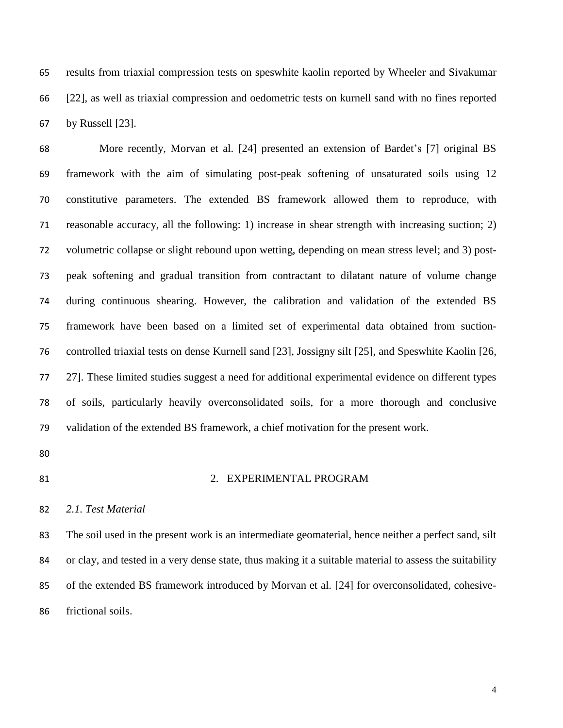results from triaxial compression tests on speswhite kaolin reported by Wheeler and Sivakumar [22], as well as triaxial compression and oedometric tests on kurnell sand with no fines reported by Russell [23].

 More recently, Morvan et al. [24] presented an extension of Bardet's [7] original BS framework with the aim of simulating post-peak softening of unsaturated soils using 12 constitutive parameters. The extended BS framework allowed them to reproduce, with reasonable accuracy, all the following: 1) increase in shear strength with increasing suction; 2) volumetric collapse or slight rebound upon wetting, depending on mean stress level; and 3) post- peak softening and gradual transition from contractant to dilatant nature of volume change during continuous shearing. However, the calibration and validation of the extended BS framework have been based on a limited set of experimental data obtained from suction- controlled triaxial tests on dense Kurnell sand [23], Jossigny silt [25], and Speswhite Kaolin [26, 27]. These limited studies suggest a need for additional experimental evidence on different types of soils, particularly heavily overconsolidated soils, for a more thorough and conclusive validation of the extended BS framework, a chief motivation for the present work.

- 
- 

#### 81 2. EXPERIMENTAL PROGRAM

#### *2.1. Test Material*

 The soil used in the present work is an intermediate geomaterial, hence neither a perfect sand, silt or clay, and tested in a very dense state, thus making it a suitable material to assess the suitability of the extended BS framework introduced by Morvan et al. [24] for overconsolidated, cohesive-frictional soils.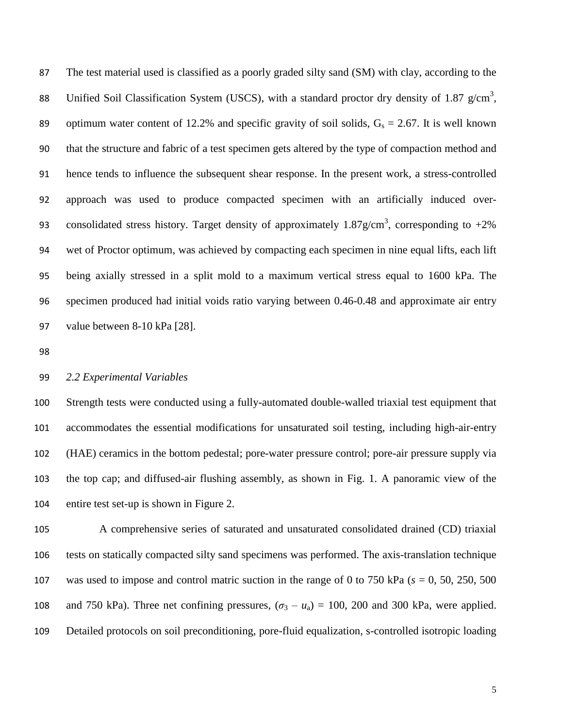The test material used is classified as a poorly graded silty sand (SM) with clay, according to the 88 Unified Soil Classification System (USCS), with a standard proctor dry density of 1.87  $g/cm^3$ , 89 optimum water content of 12.2% and specific gravity of soil solids,  $G_s = 2.67$ . It is well known that the structure and fabric of a test specimen gets altered by the type of compaction method and hence tends to influence the subsequent shear response. In the present work, a stress-controlled approach was used to produce compacted specimen with an artificially induced over-93 consolidated stress history. Target density of approximately  $1.87$  g/cm<sup>3</sup>, corresponding to  $+2\%$  wet of Proctor optimum, was achieved by compacting each specimen in nine equal lifts, each lift being axially stressed in a split mold to a maximum vertical stress equal to 1600 kPa. The specimen produced had initial voids ratio varying between 0.46-0.48 and approximate air entry value between 8-10 kPa [28].

#### *2.2 Experimental Variables*

 Strength tests were conducted using a fully-automated double-walled triaxial test equipment that accommodates the essential modifications for unsaturated soil testing, including high-air-entry (HAE) ceramics in the bottom pedestal; pore-water pressure control; pore-air pressure supply via the top cap; and diffused-air flushing assembly, as shown in Fig. 1. A panoramic view of the entire test set-up is shown in Figure 2.

 A comprehensive series of saturated and unsaturated consolidated drained (CD) triaxial tests on statically compacted silty sand specimens was performed. The axis-translation technique was used to impose and control matric suction in the range of 0 to 750 kPa (*s* = 0, 50, 250, 500 108 and 750 kPa). Three net confining pressures,  $(\sigma_3 - u_a) = 100$ , 200 and 300 kPa, were applied. Detailed protocols on soil preconditioning, pore-fluid equalization, s-controlled isotropic loading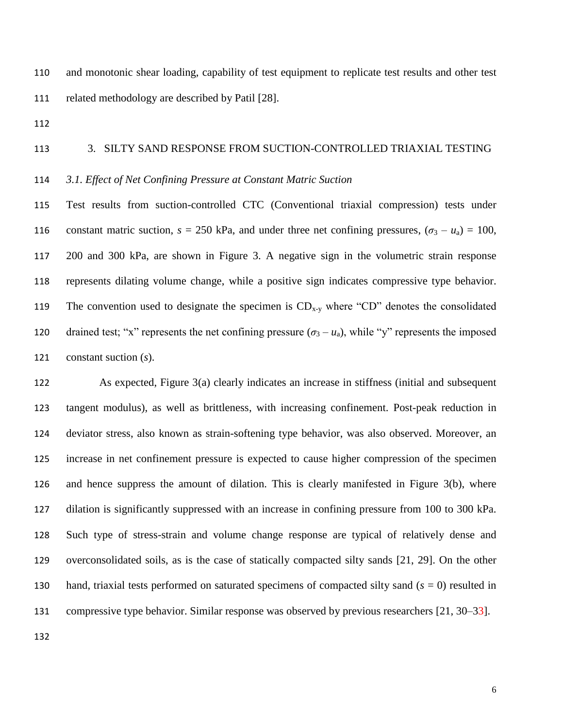and monotonic shear loading, capability of test equipment to replicate test results and other test related methodology are described by Patil [28].

#### 3. SILTY SAND RESPONSE FROM SUCTION-CONTROLLED TRIAXIAL TESTING

#### *3.1. Effect of Net Confining Pressure at Constant Matric Suction*

 Test results from suction-controlled CTC (Conventional triaxial compression) tests under 116 constant matric suction,  $s = 250$  kPa, and under three net confining pressures,  $(\sigma_3 - u_a) = 100$ , 200 and 300 kPa, are shown in Figure 3. A negative sign in the volumetric strain response represents dilating volume change, while a positive sign indicates compressive type behavior. 119 The convention used to designate the specimen is  $CD_{x-y}$  where "CD" denotes the consolidated 120 drained test; "x" represents the net confining pressure  $(\sigma_3 - u_a)$ , while "y" represents the imposed constant suction (*s*).

 As expected, Figure 3(a) clearly indicates an increase in stiffness (initial and subsequent tangent modulus), as well as brittleness, with increasing confinement. Post-peak reduction in deviator stress, also known as strain-softening type behavior, was also observed. Moreover, an increase in net confinement pressure is expected to cause higher compression of the specimen and hence suppress the amount of dilation. This is clearly manifested in Figure 3(b), where dilation is significantly suppressed with an increase in confining pressure from 100 to 300 kPa. Such type of stress-strain and volume change response are typical of relatively dense and overconsolidated soils, as is the case of statically compacted silty sands [21, 29]. On the other hand, triaxial tests performed on saturated specimens of compacted silty sand (*s* = 0) resulted in 131 compressive type behavior. Similar response was observed by previous researchers [21, 30–33].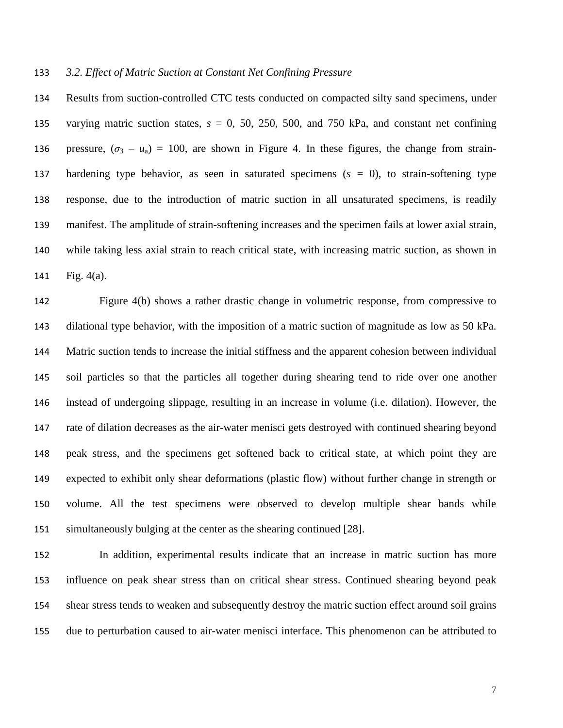#### *3.2. Effect of Matric Suction at Constant Net Confining Pressure*

 Results from suction-controlled CTC tests conducted on compacted silty sand specimens, under 135 varying matric suction states,  $s = 0$ , 50, 250, 500, and 750 kPa, and constant net confining 136 pressure,  $(\sigma_3 - u_a) = 100$ , are shown in Figure 4. In these figures, the change from strain- hardening type behavior, as seen in saturated specimens (*s* = 0), to strain-softening type response, due to the introduction of matric suction in all unsaturated specimens, is readily manifest. The amplitude of strain-softening increases and the specimen fails at lower axial strain, while taking less axial strain to reach critical state, with increasing matric suction, as shown in Fig. 4(a).

 Figure 4(b) shows a rather drastic change in volumetric response, from compressive to dilational type behavior, with the imposition of a matric suction of magnitude as low as 50 kPa. Matric suction tends to increase the initial stiffness and the apparent cohesion between individual soil particles so that the particles all together during shearing tend to ride over one another instead of undergoing slippage, resulting in an increase in volume (i.e. dilation). However, the rate of dilation decreases as the air-water menisci gets destroyed with continued shearing beyond peak stress, and the specimens get softened back to critical state, at which point they are expected to exhibit only shear deformations (plastic flow) without further change in strength or volume. All the test specimens were observed to develop multiple shear bands while simultaneously bulging at the center as the shearing continued [28].

 In addition, experimental results indicate that an increase in matric suction has more influence on peak shear stress than on critical shear stress. Continued shearing beyond peak shear stress tends to weaken and subsequently destroy the matric suction effect around soil grains due to perturbation caused to air-water menisci interface. This phenomenon can be attributed to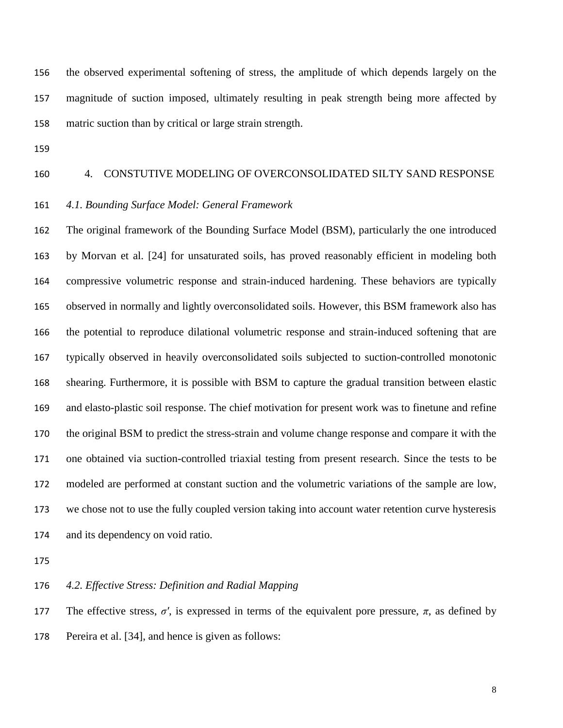the observed experimental softening of stress, the amplitude of which depends largely on the magnitude of suction imposed, ultimately resulting in peak strength being more affected by matric suction than by critical or large strain strength.

#### 4. CONSTUTIVE MODELING OF OVERCONSOLIDATED SILTY SAND RESPONSE

#### *4.1. Bounding Surface Model: General Framework*

 The original framework of the Bounding Surface Model (BSM), particularly the one introduced by Morvan et al. [24] for unsaturated soils, has proved reasonably efficient in modeling both compressive volumetric response and strain-induced hardening. These behaviors are typically observed in normally and lightly overconsolidated soils. However, this BSM framework also has the potential to reproduce dilational volumetric response and strain-induced softening that are typically observed in heavily overconsolidated soils subjected to suction-controlled monotonic shearing. Furthermore, it is possible with BSM to capture the gradual transition between elastic and elasto-plastic soil response. The chief motivation for present work was to finetune and refine the original BSM to predict the stress-strain and volume change response and compare it with the one obtained via suction-controlled triaxial testing from present research. Since the tests to be modeled are performed at constant suction and the volumetric variations of the sample are low, we chose not to use the fully coupled version taking into account water retention curve hysteresis and its dependency on void ratio.

*4.2. Effective Stress: Definition and Radial Mapping*

177 The effective stress,  $\sigma'$ , is expressed in terms of the equivalent pore pressure,  $\pi$ , as defined by Pereira et al. [34], and hence is given as follows: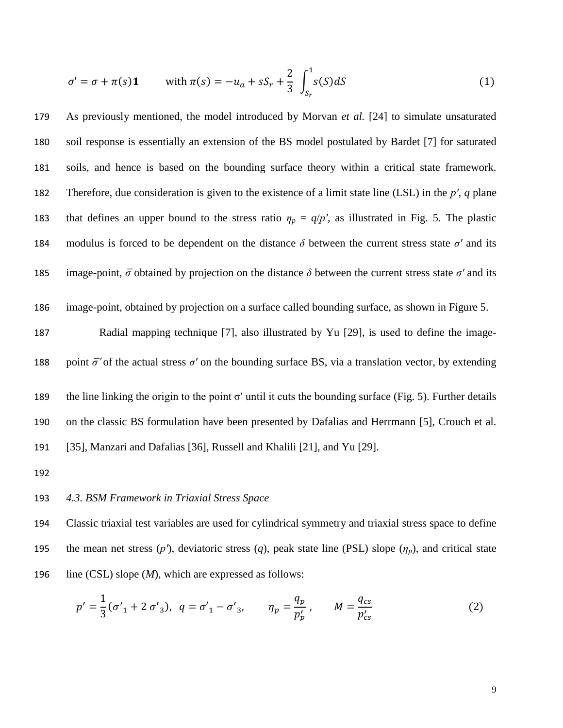$$
\sigma' = \sigma + \pi(s)\mathbf{1} \quad \text{with } \pi(s) = -u_a + sS_r + \frac{2}{3} \int_{S_r}^1 s(S) dS \tag{1}
$$

179 As previously mentioned, the model introduced by Morvan *et al.* [24] to simulate unsaturated 180 soil response is essentially an extension of the BS model postulated by Bardet [7] for saturated 181 soils, and hence is based on the bounding surface theory within a critical state framework. 182 Therefore, due consideration is given to the existence of a limit state line (LSL) in the *pʹ*, *q* plane 183 that defines an upper bound to the stress ratio  $\eta_p = q/p'$ , as illustrated in Fig. 5. The plastic 184 modulus is forced to be dependent on the distance  $\delta$  between the current stress state  $\sigma'$  and its 185 image-point,  $\bar{\sigma}$  obtained by projection on the distance  $\delta$  between the current stress state  $\sigma'$  and its

186 image-point, obtained by projection on a surface called bounding surface, as shown in Figure 5.

187 Radial mapping technique [7], also illustrated by Yu [29], is used to define the image-

188 point  $\bar{\sigma}'$  of the actual stress  $\sigma'$  on the bounding surface BS, via a translation vector, by extending

189 the line linking the origin to the point  $\sigma'$  until it cuts the bounding surface (Fig. 5). Further details 190 on the classic BS formulation have been presented by Dafalias and Herrmann [5], Crouch et al. 191 [35], Manzari and Dafalias [36], Russell and Khalili [21], and Yu [29].

192

#### 193 *4.3. BSM Framework in Triaxial Stress Space*

194 Classic triaxial test variables are used for cylindrical symmetry and triaxial stress space to define 195 the mean net stress  $(p')$ , deviatoric stress  $(q)$ , peak state line (PSL) slope  $(\eta_p)$ , and critical state 196 line (CSL) slope (*M*), which are expressed as follows:

$$
p' = \frac{1}{3} (\sigma'_{1} + 2 \sigma'_{3}), \ q = \sigma'_{1} - \sigma'_{3}, \qquad \eta_{p} = \frac{q_{p}}{p'_{p}}, \qquad M = \frac{q_{cs}}{p'_{cs}}
$$
 (2)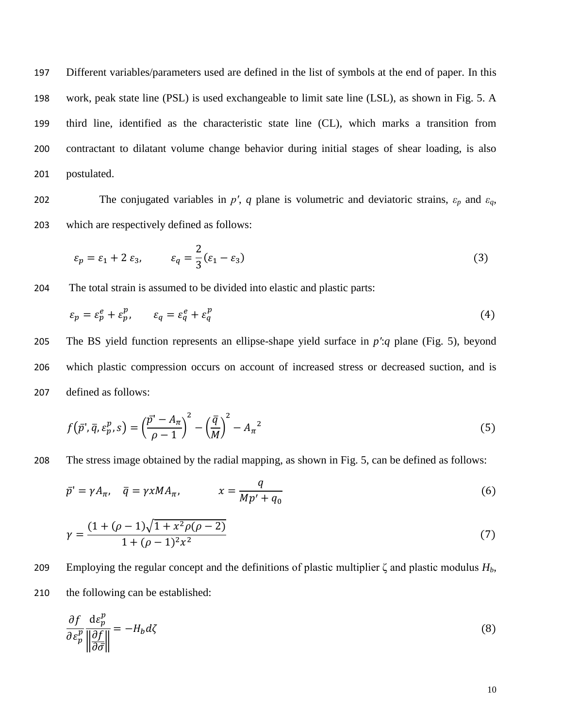Different variables/parameters used are defined in the list of symbols at the end of paper. In this work, peak state line (PSL) is used exchangeable to limit sate line (LSL), as shown in Fig. 5. A third line, identified as the characteristic state line (CL), which marks a transition from contractant to dilatant volume change behavior during initial stages of shear loading, is also postulated.

202 The conjugated variables in *p'*, *q* plane is volumetric and deviatoric strains,  $\varepsilon_p$  and  $\varepsilon_q$ , 203 which are respectively defined as follows:

$$
\varepsilon_p = \varepsilon_1 + 2 \varepsilon_3, \qquad \varepsilon_q = \frac{2}{3} (\varepsilon_1 - \varepsilon_3)
$$
 (3)

204 The total strain is assumed to be divided into elastic and plastic parts:

$$
\varepsilon_p = \varepsilon_p^e + \varepsilon_p^p, \qquad \varepsilon_q = \varepsilon_q^e + \varepsilon_q^p \tag{4}
$$

205 The BS yield function represents an ellipse-shape yield surface in *pʹ*:*q* plane (Fig. 5), beyond 206 which plastic compression occurs on account of increased stress or decreased suction, and is 207 defined as follows:

$$
f(\bar{p}', \bar{q}, \varepsilon_p^p, s) = \left(\frac{\bar{p} - A_\pi}{\rho - 1}\right)^2 - \left(\frac{\bar{q}}{M}\right)^2 - A_\pi{}^2
$$
\n<sup>(5)</sup>

208 The stress image obtained by the radial mapping, as shown in Fig. 5, can be defined as follows:

$$
\bar{p}' = \gamma A_{\pi}, \quad \bar{q} = \gamma x M A_{\pi}, \qquad x = \frac{q}{M p' + q_0} \tag{6}
$$

$$
\gamma = \frac{(1 + (\rho - 1)\sqrt{1 + x^2\rho(\rho - 2)}}{1 + (\rho - 1)^2 x^2}
$$
\n(7)

209 Employing the regular concept and the definitions of plastic multiplier  $\zeta$  and plastic modulus  $H_b$ , 210 the following can be established:

$$
\frac{\partial f}{\partial \varepsilon_p^p} \frac{\mathrm{d}\varepsilon_p^p}{\left\| \frac{\partial f}{\partial \bar{\sigma}} \right\|} = -H_b \, d\zeta \tag{8}
$$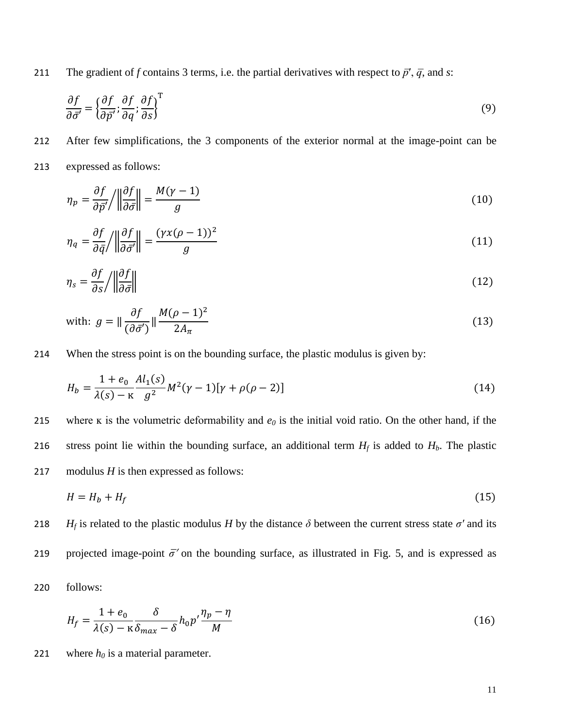211 The gradient of *f* contains 3 terms, i.e. the partial derivatives with respect to  $\vec{p}'$ ,  $\vec{q}$ , and *s*:

$$
\frac{\partial f}{\partial \bar{\sigma}'} = \left\{ \frac{\partial f}{\partial \bar{p}'}; \frac{\partial f}{\partial q}; \frac{\partial f}{\partial s} \right\}^{\mathrm{T}}
$$
(9)

212 After few simplifications, the 3 components of the exterior normal at the image-point can be 213 expressed as follows:

$$
\eta_p = \frac{\partial f}{\partial \bar{p}'} / \left\| \frac{\partial f}{\partial \bar{\sigma}} \right\| = \frac{M(\gamma - 1)}{g} \tag{10}
$$

$$
\eta_q = \frac{\partial f}{\partial \bar{q}} / \left\| \frac{\partial f}{\partial \bar{\sigma}'} \right\| = \frac{(\gamma x (\rho - 1))^2}{g} \tag{11}
$$

$$
\eta_s = \frac{\partial f}{\partial s} / \left\| \frac{\partial f}{\partial \bar{\sigma}} \right\| \tag{12}
$$

with: 
$$
g = \|\frac{\partial f}{(\partial \bar{\sigma}')} \| \frac{M(\rho - 1)^2}{2A_{\pi}}
$$
 (13)

214 When the stress point is on the bounding surface, the plastic modulus is given by:

$$
H_b = \frac{1 + e_0}{\lambda(s) - \kappa} \frac{Al_1(s)}{g^2} M^2(\gamma - 1)[\gamma + \rho(\rho - 2)]
$$
\n(14)

215 where  $\kappa$  is the volumetric deformability and  $e_0$  is the initial void ratio. On the other hand, if the 216 stress point lie within the bounding surface, an additional term  $H_f$  is added to  $H_b$ . The plastic 217 modulus *H* is then expressed as follows:

$$
H = H_b + H_f \tag{15}
$$

218 *H<sub>f</sub>* is related to the plastic modulus *H* by the distance  $\delta$  between the current stress state  $\sigma'$  and its 219 projected image-point  $\bar{\sigma}'$  on the bounding surface, as illustrated in Fig. 5, and is expressed as

220 follows:

$$
H_f = \frac{1 + e_0}{\lambda(s) - \kappa} \frac{\delta}{\delta_{max} - \delta} h_0 p' \frac{\eta_p - \eta}{M}
$$
\n(16)

221 where  $h_0$  is a material parameter.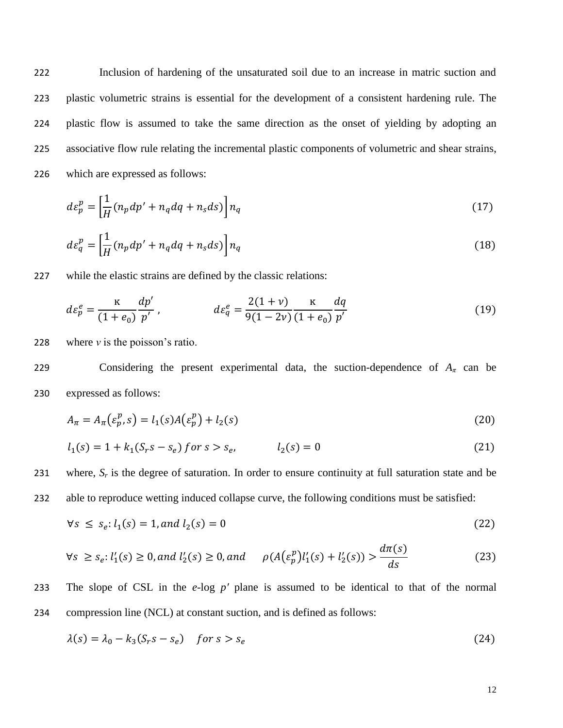Inclusion of hardening of the unsaturated soil due to an increase in matric suction and plastic volumetric strains is essential for the development of a consistent hardening rule. The plastic flow is assumed to take the same direction as the onset of yielding by adopting an associative flow rule relating the incremental plastic components of volumetric and shear strains, which are expressed as follows:

$$
d\varepsilon_p^p = \left[\frac{1}{H}(n_p dp' + n_q dq + n_s ds)\right] n_q \tag{17}
$$

$$
d\varepsilon_q^p = \left[\frac{1}{H}(n_p dp' + n_q dq + n_s ds)\right] n_q
$$
\n(18)

227 while the elastic strains are defined by the classic relations:

$$
d\varepsilon_p^e = \frac{\kappa}{(1+e_0)} \frac{dp'}{p'}, \qquad d\varepsilon_q^e = \frac{2(1+\nu)}{9(1-2\nu)} \frac{\kappa}{(1+e_0)} \frac{dq}{p'}
$$
(19)

228 where *ν* is the poisson's ratio.

229 Considering the present experimental data, the suction-dependence of  $A_\pi$  can be 230 expressed as follows:

$$
A_{\pi} = A_{\pi}(\varepsilon_p^p, s) = l_1(s)A(\varepsilon_p^p) + l_2(s)
$$
\n(20)

$$
l_1(s) = 1 + k_1(S_r s - s_e) \text{ for } s > s_e, \qquad l_2(s) = 0 \tag{21}
$$

231 where,  $S_r$  is the degree of saturation. In order to ensure continuity at full saturation state and be

232 able to reproduce wetting induced collapse curve, the following conditions must be satisfied:

$$
\forall s \le s_e: l_1(s) = 1, and l_2(s) = 0 \tag{22}
$$

$$
\forall s \ge s_e: l'_1(s) \ge 0, \text{ and } l'_2(s) \ge 0, \text{ and } \rho(A(\varepsilon_p^p)l'_1(s) + l'_2(s)) > \frac{d\pi(s)}{ds} \tag{23}
$$

233 The slope of CSL in the *e*-log *pʹ* plane is assumed to be identical to that of the normal

234 compression line (NCL) at constant suction, and is defined as follows:

$$
\lambda(s) = \lambda_0 - k_3(S_r s - s_e) \quad \text{for } s > s_e \tag{24}
$$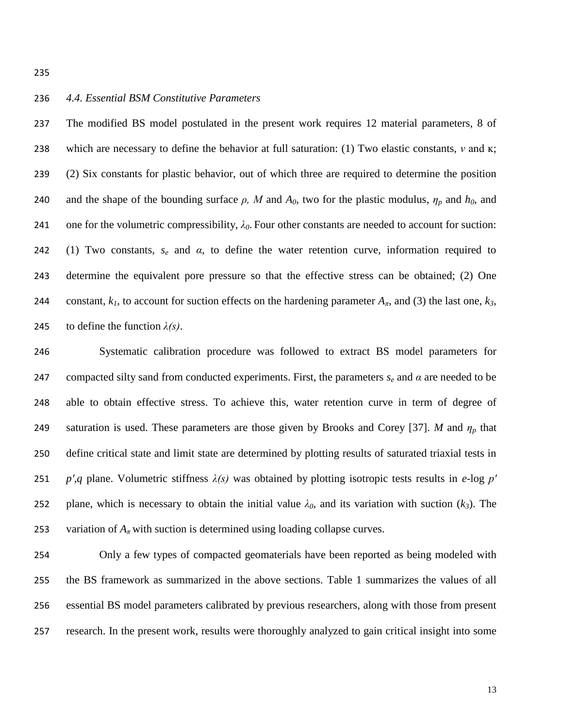#### *4.4. Essential BSM Constitutive Parameters*

 The modified BS model postulated in the present work requires 12 material parameters, 8 of which are necessary to define the behavior at full saturation: (1) Two elastic constants, *ν* and ĸ; (2) Six constants for plastic behavior, out of which three are required to determine the position 240 and the shape of the bounding surface  $\rho$ , M and  $A_0$ , two for the plastic modulus,  $\eta_p$  and  $h_0$ , and 241 one for the volumetric compressibility,  $\lambda_0$ . Four other constants are needed to account for suction: (1) Two constants, *s<sup>e</sup>* and *α*, to define the water retention curve, information required to determine the equivalent pore pressure so that the effective stress can be obtained; (2) One 244 constant,  $k_l$ , to account for suction effects on the hardening parameter  $A_\pi$ , and (3) the last one,  $k_3$ , 245 to define the function  $\lambda(s)$ .

 Systematic calibration procedure was followed to extract BS model parameters for 247 compacted silty sand from conducted experiments. First, the parameters  $s_e$  and  $\alpha$  are needed to be able to obtain effective stress. To achieve this, water retention curve in term of degree of 249 saturation is used. These parameters are those given by Brooks and Corey [37]. *M* and  $\eta_p$  that define critical state and limit state are determined by plotting results of saturated triaxial tests in *pʹ,q* plane. Volumetric stiffness *λ(s)* was obtained by plotting isotropic tests results in *e*-log *pʹ* 252 plane, which is necessary to obtain the initial value  $\lambda_0$ , and its variation with suction  $(k_3)$ . The 253 variation of  $A_\pi$  with suction is determined using loading collapse curves.

 Only a few types of compacted geomaterials have been reported as being modeled with the BS framework as summarized in the above sections. Table 1 summarizes the values of all essential BS model parameters calibrated by previous researchers, along with those from present research. In the present work, results were thoroughly analyzed to gain critical insight into some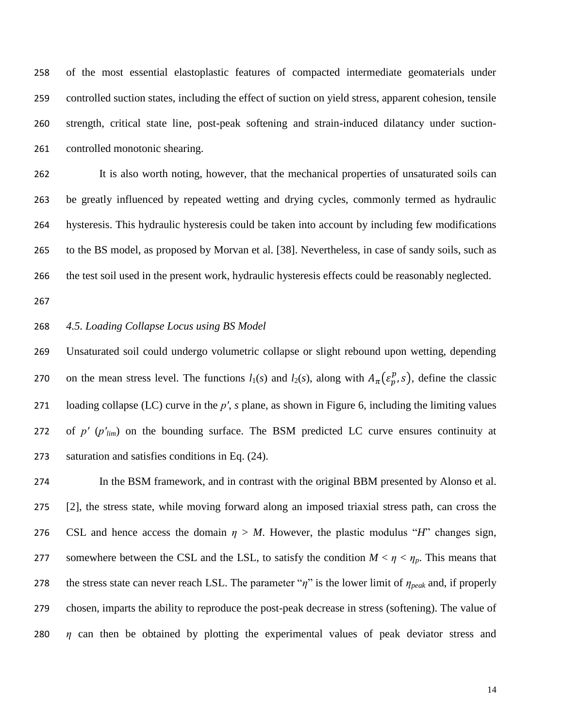of the most essential elastoplastic features of compacted intermediate geomaterials under controlled suction states, including the effect of suction on yield stress, apparent cohesion, tensile strength, critical state line, post-peak softening and strain-induced dilatancy under suction-controlled monotonic shearing.

 It is also worth noting, however, that the mechanical properties of unsaturated soils can be greatly influenced by repeated wetting and drying cycles, commonly termed as hydraulic hysteresis. This hydraulic hysteresis could be taken into account by including few modifications to the BS model, as proposed by Morvan et al. [38]. Nevertheless, in case of sandy soils, such as the test soil used in the present work, hydraulic hysteresis effects could be reasonably neglected.

#### *4.5. Loading Collapse Locus using BS Model*

 Unsaturated soil could undergo volumetric collapse or slight rebound upon wetting, depending 270 on the mean stress level. The functions  $l_1(s)$  and  $l_2(s)$ , along with  $A_\pi(\varepsilon_p^p, s)$ , define the classic loading collapse (LC) curve in the *pʹ*, *s* plane, as shown in Figure 6, including the limiting values 272 of  $p'$  ( $p'_{lim}$ ) on the bounding surface. The BSM predicted LC curve ensures continuity at saturation and satisfies conditions in Eq. (24).

 In the BSM framework, and in contrast with the original BBM presented by Alonso et al. [2], the stress state, while moving forward along an imposed triaxial stress path, can cross the 276 CSL and hence access the domain  $\eta > M$ . However, the plastic modulus "*H*" changes sign, 277 somewhere between the CSL and the LSL, to satisfy the condition  $M < \eta < \eta_p$ . This means that the stress state can never reach LSL. The parameter "*η*" is the lower limit of *ηpeak* and, if properly chosen, imparts the ability to reproduce the post-peak decrease in stress (softening). The value of *η* can then be obtained by plotting the experimental values of peak deviator stress and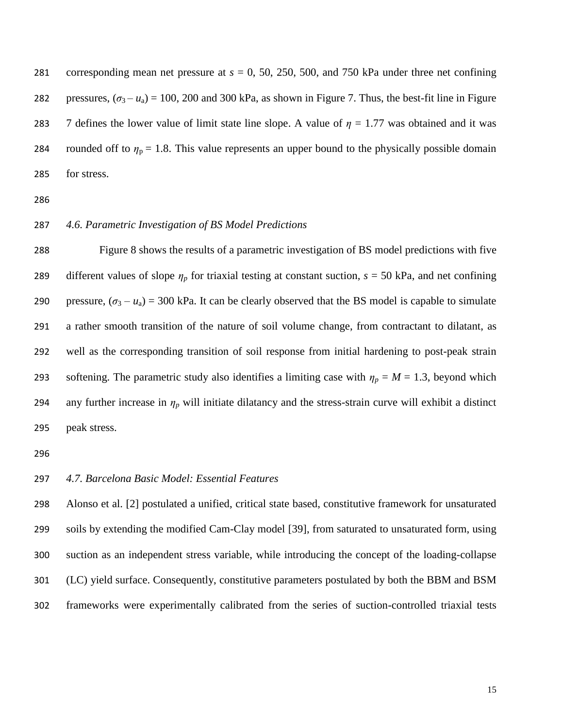corresponding mean net pressure at *s* = 0, 50, 250, 500, and 750 kPa under three net confining 282 pressures,  $(\sigma_3 - u_a) = 100$ , 200 and 300 kPa, as shown in Figure 7. Thus, the best-fit line in Figure 283 7 defines the lower value of limit state line slope. A value of  $\eta = 1.77$  was obtained and it was 284 rounded off to  $\eta_p = 1.8$ . This value represents an upper bound to the physically possible domain for stress.

#### *4.6. Parametric Investigation of BS Model Predictions*

 Figure 8 shows the results of a parametric investigation of BS model predictions with five 289 different values of slope  $\eta_p$  for triaxial testing at constant suction,  $s = 50$  kPa, and net confining 290 pressure,  $(\sigma_3 - u_a) = 300$  kPa. It can be clearly observed that the BS model is capable to simulate a rather smooth transition of the nature of soil volume change, from contractant to dilatant, as well as the corresponding transition of soil response from initial hardening to post-peak strain 293 softening. The parametric study also identifies a limiting case with  $\eta_p = M = 1.3$ , beyond which 294 any further increase in  $\eta_p$  will initiate dilatancy and the stress-strain curve will exhibit a distinct peak stress.

#### *4.7. Barcelona Basic Model: Essential Features*

 Alonso et al. [2] postulated a unified, critical state based, constitutive framework for unsaturated soils by extending the modified Cam-Clay model [39], from saturated to unsaturated form, using suction as an independent stress variable, while introducing the concept of the loading-collapse (LC) yield surface. Consequently, constitutive parameters postulated by both the BBM and BSM frameworks were experimentally calibrated from the series of suction-controlled triaxial tests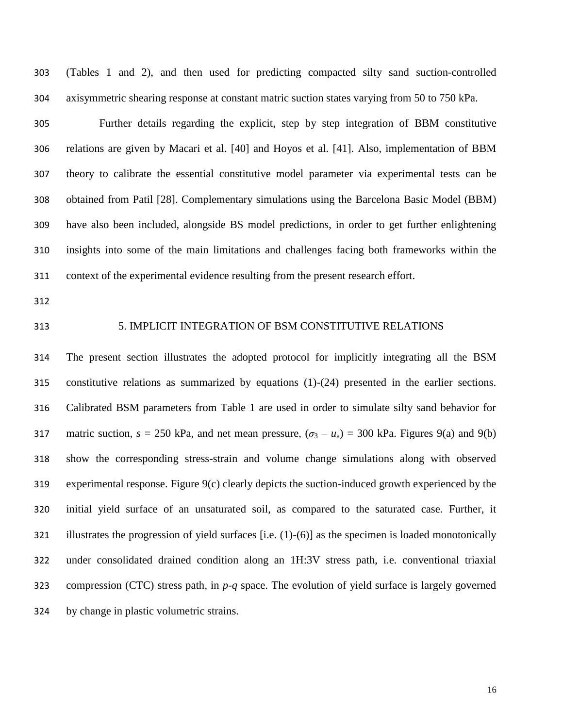(Tables 1 and 2), and then used for predicting compacted silty sand suction-controlled axisymmetric shearing response at constant matric suction states varying from 50 to 750 kPa.

 Further details regarding the explicit, step by step integration of BBM constitutive relations are given by Macari et al. [40] and Hoyos et al. [41]. Also, implementation of BBM theory to calibrate the essential constitutive model parameter via experimental tests can be obtained from Patil [28]. Complementary simulations using the Barcelona Basic Model (BBM) have also been included, alongside BS model predictions, in order to get further enlightening insights into some of the main limitations and challenges facing both frameworks within the context of the experimental evidence resulting from the present research effort.

#### 5. IMPLICIT INTEGRATION OF BSM CONSTITUTIVE RELATIONS

 The present section illustrates the adopted protocol for implicitly integrating all the BSM constitutive relations as summarized by equations (1)-(24) presented in the earlier sections. Calibrated BSM parameters from Table 1 are used in order to simulate silty sand behavior for 317 matric suction,  $s = 250$  kPa, and net mean pressure,  $(\sigma_3 - u_a) = 300$  kPa. Figures 9(a) and 9(b) show the corresponding stress-strain and volume change simulations along with observed experimental response. Figure 9(c) clearly depicts the suction-induced growth experienced by the initial yield surface of an unsaturated soil, as compared to the saturated case. Further, it illustrates the progression of yield surfaces [i.e. (1)-(6)] as the specimen is loaded monotonically under consolidated drained condition along an 1H:3V stress path, i.e. conventional triaxial compression (CTC) stress path, in *p*-*q* space. The evolution of yield surface is largely governed by change in plastic volumetric strains.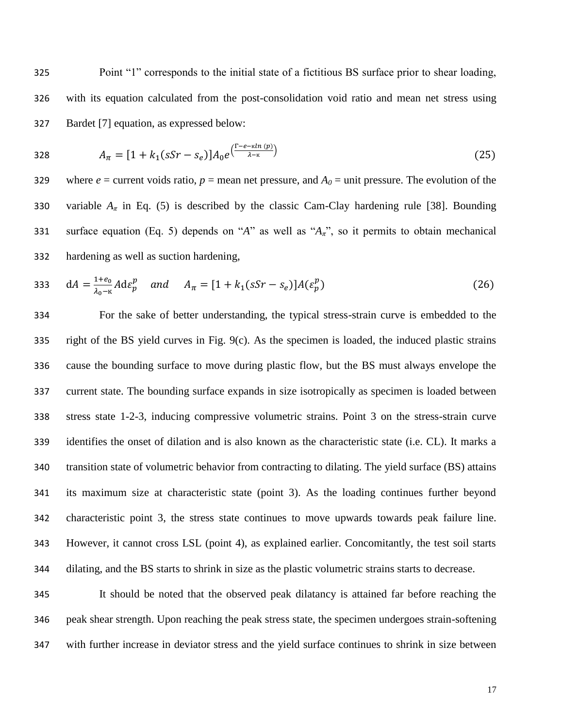325 Point "1" corresponds to the initial state of a fictitious BS surface prior to shear loading, 326 with its equation calculated from the post-consolidation void ratio and mean net stress using 327 Bardet [7] equation, as expressed below:

328 
$$
A_{\pi} = [1 + k_1(sSr - s_e)]A_0 e^{\left(\frac{\Gamma - e - \kappa ln(p)}{\lambda - \kappa}\right)}
$$
(25)

329 where  $e =$  current voids ratio,  $p =$  mean net pressure, and  $A_0 =$  unit pressure. The evolution of the 330 variable  $A_{\pi}$  in Eq. (5) is described by the classic Cam-Clay hardening rule [38]. Bounding 331 surface equation (Eq. 5) depends on "*A*" as well as " $A_{\pi}$ ", so it permits to obtain mechanical 332 hardening as well as suction hardening,

333 
$$
dA = \frac{1+e_0}{\lambda_0 - \kappa} A d \varepsilon_p^p
$$
 and  $A_{\pi} = [1 + k_1 (s S r - s_e)] A (\varepsilon_p^p)$  (26)

 For the sake of better understanding, the typical stress-strain curve is embedded to the right of the BS yield curves in Fig. 9(c). As the specimen is loaded, the induced plastic strains cause the bounding surface to move during plastic flow, but the BS must always envelope the current state. The bounding surface expands in size isotropically as specimen is loaded between stress state 1-2-3, inducing compressive volumetric strains. Point 3 on the stress-strain curve identifies the onset of dilation and is also known as the characteristic state (i.e. CL). It marks a transition state of volumetric behavior from contracting to dilating. The yield surface (BS) attains its maximum size at characteristic state (point 3). As the loading continues further beyond characteristic point 3, the stress state continues to move upwards towards peak failure line. However, it cannot cross LSL (point 4), as explained earlier. Concomitantly, the test soil starts dilating, and the BS starts to shrink in size as the plastic volumetric strains starts to decrease.

345 It should be noted that the observed peak dilatancy is attained far before reaching the 346 peak shear strength. Upon reaching the peak stress state, the specimen undergoes strain-softening 347 with further increase in deviator stress and the yield surface continues to shrink in size between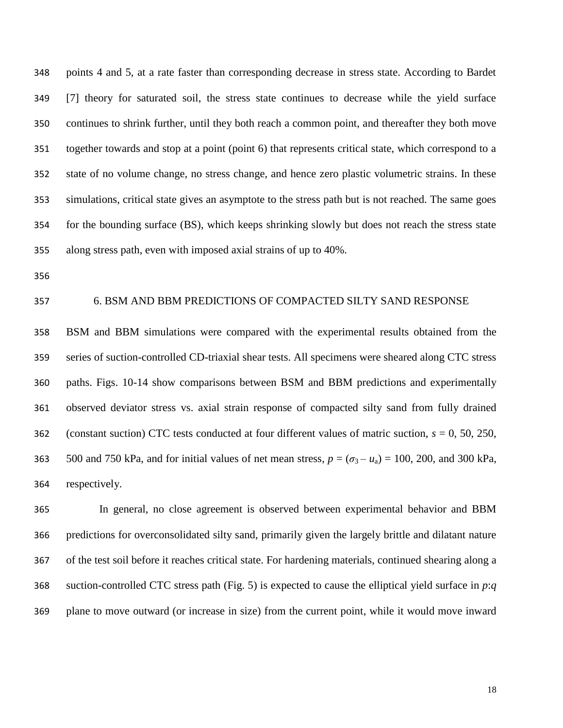points 4 and 5, at a rate faster than corresponding decrease in stress state. According to Bardet [7] theory for saturated soil, the stress state continues to decrease while the yield surface continues to shrink further, until they both reach a common point, and thereafter they both move together towards and stop at a point (point 6) that represents critical state, which correspond to a state of no volume change, no stress change, and hence zero plastic volumetric strains. In these simulations, critical state gives an asymptote to the stress path but is not reached. The same goes for the bounding surface (BS), which keeps shrinking slowly but does not reach the stress state along stress path, even with imposed axial strains of up to 40%.

#### 6. BSM AND BBM PREDICTIONS OF COMPACTED SILTY SAND RESPONSE

 BSM and BBM simulations were compared with the experimental results obtained from the series of suction-controlled CD-triaxial shear tests. All specimens were sheared along CTC stress paths. Figs. 10-14 show comparisons between BSM and BBM predictions and experimentally observed deviator stress vs. axial strain response of compacted silty sand from fully drained (constant suction) CTC tests conducted at four different values of matric suction, *s* = 0, 50, 250, 363 500 and 750 kPa, and for initial values of net mean stress,  $p = (\sigma_3 - u_a) = 100$ , 200, and 300 kPa, respectively.

 In general, no close agreement is observed between experimental behavior and BBM predictions for overconsolidated silty sand, primarily given the largely brittle and dilatant nature of the test soil before it reaches critical state. For hardening materials, continued shearing along a suction-controlled CTC stress path (Fig. 5) is expected to cause the elliptical yield surface in *p*:*q* plane to move outward (or increase in size) from the current point, while it would move inward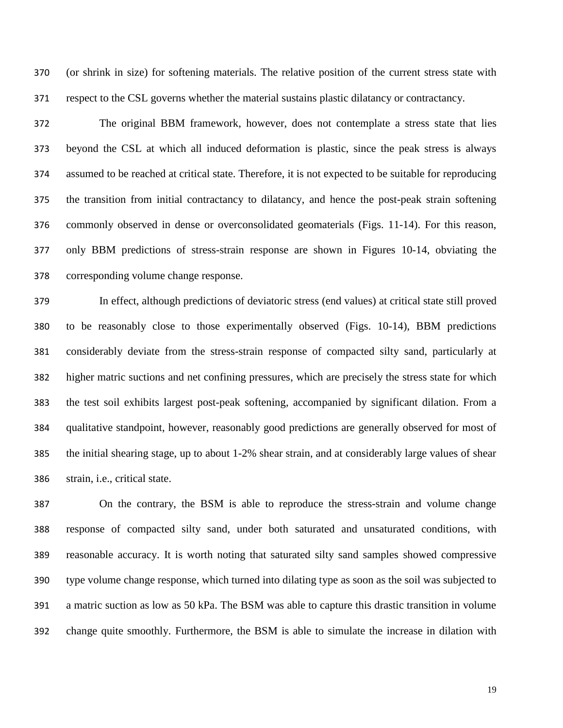(or shrink in size) for softening materials. The relative position of the current stress state with respect to the CSL governs whether the material sustains plastic dilatancy or contractancy.

 The original BBM framework, however, does not contemplate a stress state that lies beyond the CSL at which all induced deformation is plastic, since the peak stress is always assumed to be reached at critical state. Therefore, it is not expected to be suitable for reproducing the transition from initial contractancy to dilatancy, and hence the post-peak strain softening commonly observed in dense or overconsolidated geomaterials (Figs. 11-14). For this reason, only BBM predictions of stress-strain response are shown in Figures 10-14, obviating the corresponding volume change response.

 In effect, although predictions of deviatoric stress (end values) at critical state still proved to be reasonably close to those experimentally observed (Figs. 10-14), BBM predictions considerably deviate from the stress-strain response of compacted silty sand, particularly at higher matric suctions and net confining pressures, which are precisely the stress state for which the test soil exhibits largest post-peak softening, accompanied by significant dilation. From a qualitative standpoint, however, reasonably good predictions are generally observed for most of the initial shearing stage, up to about 1-2% shear strain, and at considerably large values of shear strain, i.e., critical state.

 On the contrary, the BSM is able to reproduce the stress-strain and volume change response of compacted silty sand, under both saturated and unsaturated conditions, with reasonable accuracy. It is worth noting that saturated silty sand samples showed compressive type volume change response, which turned into dilating type as soon as the soil was subjected to a matric suction as low as 50 kPa. The BSM was able to capture this drastic transition in volume change quite smoothly. Furthermore, the BSM is able to simulate the increase in dilation with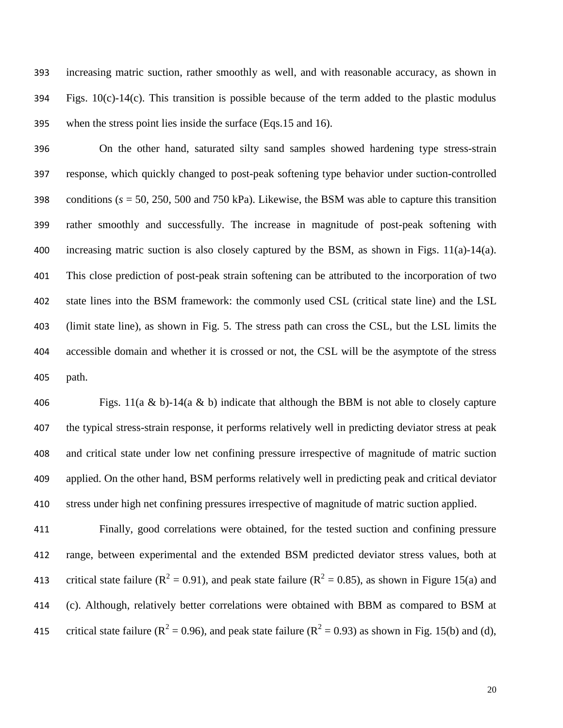increasing matric suction, rather smoothly as well, and with reasonable accuracy, as shown in Figs. 10(c)-14(c). This transition is possible because of the term added to the plastic modulus when the stress point lies inside the surface (Eqs.15 and 16).

 On the other hand, saturated silty sand samples showed hardening type stress-strain response, which quickly changed to post-peak softening type behavior under suction-controlled conditions (*s* = 50, 250, 500 and 750 kPa). Likewise, the BSM was able to capture this transition rather smoothly and successfully. The increase in magnitude of post-peak softening with 400 increasing matric suction is also closely captured by the BSM, as shown in Figs.  $11(a)-14(a)$ . This close prediction of post-peak strain softening can be attributed to the incorporation of two state lines into the BSM framework: the commonly used CSL (critical state line) and the LSL (limit state line), as shown in Fig. 5. The stress path can cross the CSL, but the LSL limits the accessible domain and whether it is crossed or not, the CSL will be the asymptote of the stress path.

406 Figs.  $11(a \& b)-14(a \& b)$  indicate that although the BBM is not able to closely capture the typical stress-strain response, it performs relatively well in predicting deviator stress at peak and critical state under low net confining pressure irrespective of magnitude of matric suction applied. On the other hand, BSM performs relatively well in predicting peak and critical deviator stress under high net confining pressures irrespective of magnitude of matric suction applied.

 Finally, good correlations were obtained, for the tested suction and confining pressure range, between experimental and the extended BSM predicted deviator stress values, both at 413 critical state failure ( $R^2 = 0.91$ ), and peak state failure ( $R^2 = 0.85$ ), as shown in Figure 15(a) and (c). Although, relatively better correlations were obtained with BBM as compared to BSM at 415 critical state failure ( $R^2 = 0.96$ ), and peak state failure ( $R^2 = 0.93$ ) as shown in Fig. 15(b) and (d),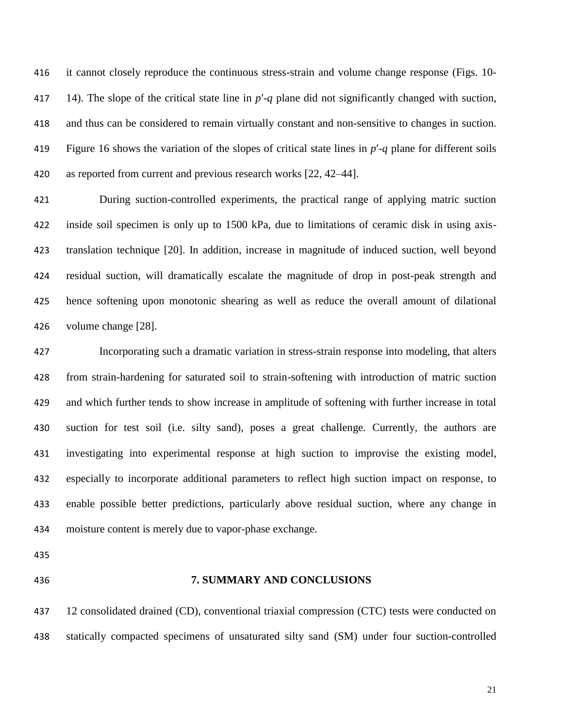it cannot closely reproduce the continuous stress-strain and volume change response (Figs. 10- 417 14). The slope of the critical state line in  $p'$ -q plane did not significantly changed with suction, and thus can be considered to remain virtually constant and non-sensitive to changes in suction. Figure 16 shows the variation of the slopes of critical state lines in *p*ʹ-*q* plane for different soils 420 as reported from current and previous research works [22, 42–44].

 During suction-controlled experiments, the practical range of applying matric suction inside soil specimen is only up to 1500 kPa, due to limitations of ceramic disk in using axis- translation technique [20]. In addition, increase in magnitude of induced suction, well beyond residual suction, will dramatically escalate the magnitude of drop in post-peak strength and hence softening upon monotonic shearing as well as reduce the overall amount of dilational volume change [28].

 Incorporating such a dramatic variation in stress-strain response into modeling, that alters from strain-hardening for saturated soil to strain-softening with introduction of matric suction and which further tends to show increase in amplitude of softening with further increase in total suction for test soil (i.e. silty sand), poses a great challenge. Currently, the authors are investigating into experimental response at high suction to improvise the existing model, especially to incorporate additional parameters to reflect high suction impact on response, to enable possible better predictions, particularly above residual suction, where any change in moisture content is merely due to vapor-phase exchange.

#### **7. SUMMARY AND CONCLUSIONS**

 12 consolidated drained (CD), conventional triaxial compression (CTC) tests were conducted on statically compacted specimens of unsaturated silty sand (SM) under four suction-controlled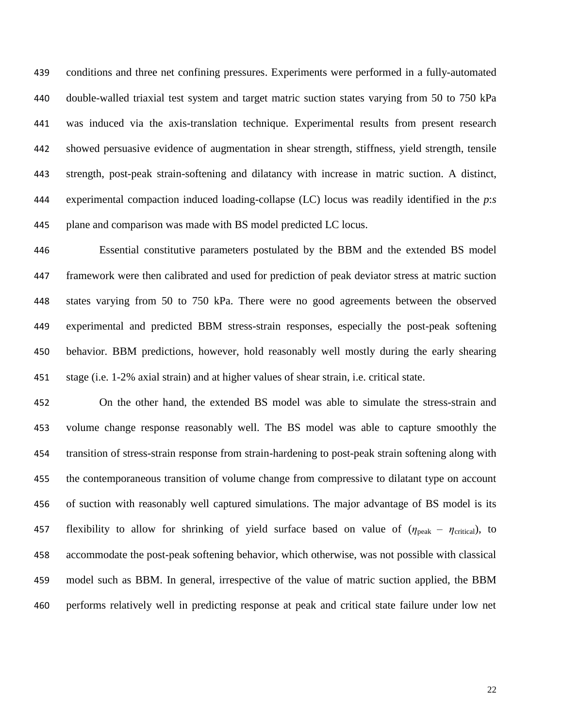conditions and three net confining pressures. Experiments were performed in a fully-automated double-walled triaxial test system and target matric suction states varying from 50 to 750 kPa was induced via the axis-translation technique. Experimental results from present research showed persuasive evidence of augmentation in shear strength, stiffness, yield strength, tensile strength, post-peak strain-softening and dilatancy with increase in matric suction. A distinct, experimental compaction induced loading-collapse (LC) locus was readily identified in the *p*:*s* plane and comparison was made with BS model predicted LC locus.

 Essential constitutive parameters postulated by the BBM and the extended BS model framework were then calibrated and used for prediction of peak deviator stress at matric suction states varying from 50 to 750 kPa. There were no good agreements between the observed experimental and predicted BBM stress-strain responses, especially the post-peak softening behavior. BBM predictions, however, hold reasonably well mostly during the early shearing stage (i.e. 1-2% axial strain) and at higher values of shear strain, i.e. critical state.

 On the other hand, the extended BS model was able to simulate the stress-strain and volume change response reasonably well. The BS model was able to capture smoothly the transition of stress-strain response from strain-hardening to post-peak strain softening along with the contemporaneous transition of volume change from compressive to dilatant type on account of suction with reasonably well captured simulations. The major advantage of BS model is its 457 flexibility to allow for shrinking of yield surface based on value of  $(\eta_{peak} - \eta_{critical})$ , to accommodate the post-peak softening behavior, which otherwise, was not possible with classical model such as BBM. In general, irrespective of the value of matric suction applied, the BBM performs relatively well in predicting response at peak and critical state failure under low net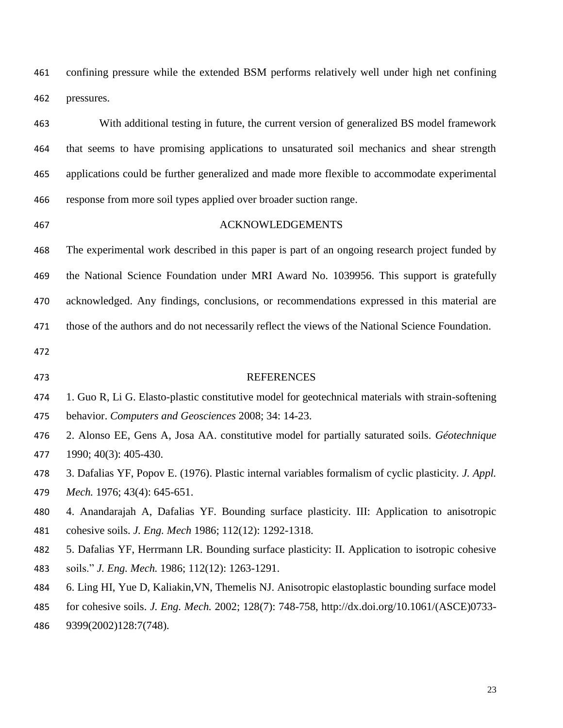confining pressure while the extended BSM performs relatively well under high net confining pressures.

 With additional testing in future, the current version of generalized BS model framework that seems to have promising applications to unsaturated soil mechanics and shear strength applications could be further generalized and made more flexible to accommodate experimental response from more soil types applied over broader suction range.

#### ACKNOWLEDGEMENTS

 The experimental work described in this paper is part of an ongoing research project funded by the National Science Foundation under MRI Award No. 1039956. This support is gratefully acknowledged. Any findings, conclusions, or recommendations expressed in this material are those of the authors and do not necessarily reflect the views of the National Science Foundation.

#### REFERENCES

- 1. Guo R, Li G. Elasto-plastic constitutive model for geotechnical materials with strain-softening
- behavior. *Computers and Geosciences* 2008; 34: 14-23.
- 2. Alonso EE, Gens A, Josa AA. constitutive model for partially saturated soils. *Géotechnique*  1990; 40(3): 405-430.
- 3. Dafalias YF, Popov E. (1976). Plastic internal variables formalism of cyclic plasticity. *J. Appl. Mech.* 1976; 43(4): 645-651.
- 4. Anandarajah A, Dafalias YF. Bounding surface plasticity. III: Application to anisotropic cohesive soils. *J. Eng. Mech* 1986; 112(12): 1292-1318.
- 5. Dafalias YF, Herrmann LR. Bounding surface plasticity: II. Application to isotropic cohesive soils." *J. Eng. Mech.* 1986; 112(12): 1263-1291.
- 6. Ling HI, Yue D, Kaliakin,VN, Themelis NJ. Anisotropic elastoplastic bounding surface model
- for cohesive soils. *J. Eng. Mech.* 2002; 128(7): 748-758, http://dx.doi.org/10.1061/(ASCE)0733-
- 9399(2002)128:7(748).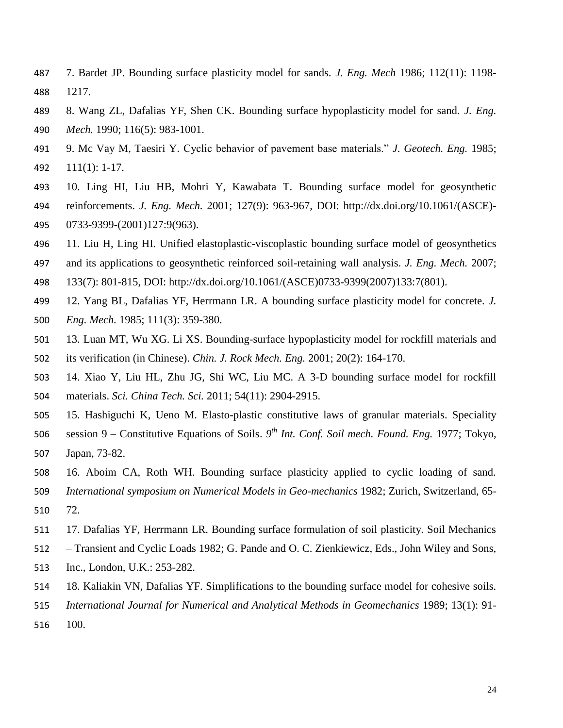- 7. Bardet JP. Bounding surface plasticity model for sands. *J. Eng. Mech* 1986; 112(11): 1198- 1217.
- 8. Wang ZL, Dafalias YF, Shen CK. Bounding surface hypoplasticity model for sand. *J. Eng. Mech.* 1990; 116(5): 983-1001.
- 9. Mc Vay M, Taesiri Y. Cyclic behavior of pavement base materials." *J. Geotech. Eng.* 1985; 111(1): 1-17.
- 10. Ling HI, Liu HB, Mohri Y, Kawabata T. Bounding surface model for geosynthetic reinforcements. *J. Eng. Mech.* 2001; 127(9): 963-967, DOI: http://dx.doi.org/10.1061/(ASCE)- 0733-9399-(2001)127:9(963).
- 11. Liu H, Ling HI. Unified elastoplastic-viscoplastic bounding surface model of geosynthetics
- and its applications to geosynthetic reinforced soil-retaining wall analysis. *J. Eng. Mech.* 2007;
- 133(7): 801-815, DOI: http://dx.doi.org/10.1061/(ASCE)0733-9399(2007)133:7(801).
- 12. Yang BL, Dafalias YF, Herrmann LR. A bounding surface plasticity model for concrete. *J. Eng. Mech.* 1985; 111(3): 359-380.
- 13. Luan MT, Wu XG. Li XS. Bounding-surface hypoplasticity model for rockfill materials and its verification (in Chinese). *Chin. J. Rock Mech. Eng.* 2001; 20(2): 164-170.
- 14. Xiao Y, Liu HL, Zhu JG, Shi WC, Liu MC. A 3-D bounding surface model for rockfill materials. *Sci. China Tech. Sci.* 2011; 54(11): 2904-2915.
- 15. Hashiguchi K, Ueno M. Elasto-plastic constitutive laws of granular materials. Speciality
- 506 session 9 Constitutive Equations of Soils. 9<sup>th</sup> Int. Conf. Soil mech. Found. Eng. 1977; Tokyo, Japan, 73-82.
- 16. Aboim CA, Roth WH. Bounding surface plasticity applied to cyclic loading of sand.
- *International symposium on Numerical Models in Geo-mechanics* 1982; Zurich, Switzerland, 65-
- 72.
- 17. Dafalias YF, Herrmann LR. Bounding surface formulation of soil plasticity. Soil Mechanics
- Transient and Cyclic Loads 1982; G. Pande and O. C. Zienkiewicz, Eds., John Wiley and Sons,
- Inc., London, U.K.: 253-282.
- 18. Kaliakin VN, Dafalias YF. Simplifications to the bounding surface model for cohesive soils.
- *International Journal for Numerical and Analytical Methods in Geomechanics* 1989; 13(1): 91-
- 100.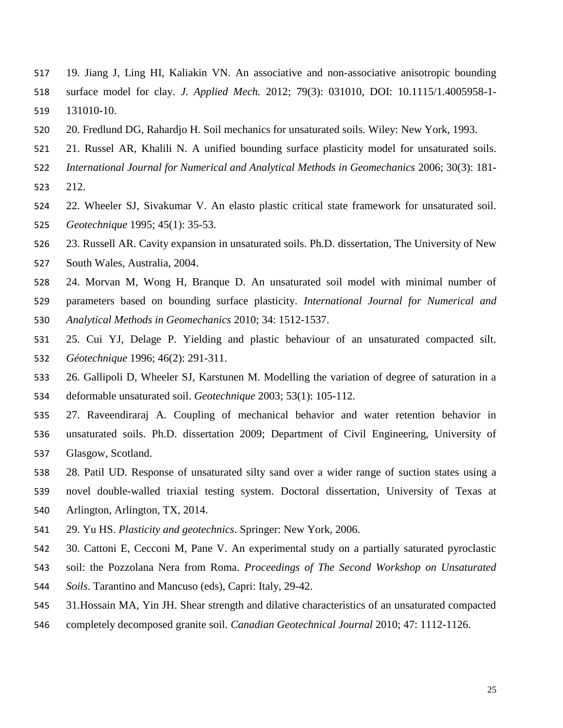- 19. Jiang J, Ling HI, Kaliakin VN. An associative and non-associative anisotropic bounding
- surface model for clay. *J. Applied Mech.* 2012; 79(3): 031010, DOI: 10.1115/1.4005958-1-
- 131010-10.
- 20. Fredlund DG, Rahardjo H. Soil mechanics for unsaturated soils. Wiley: New York, 1993.
- 21. Russel AR, Khalili N. A unified bounding surface plasticity model for unsaturated soils.
- *International Journal for Numerical and Analytical Methods in Geomechanics* 2006; 30(3): 181-
- 212.
- 22. Wheeler SJ, Sivakumar V. An elasto plastic critical state framework for unsaturated soil. *Geotechnique* 1995; 45(1): 35-53.
- 23. Russell AR. Cavity expansion in unsaturated soils. Ph.D. dissertation, The University of New
- South Wales, Australia, 2004.
- 24. Morvan M, Wong H, Branque D. An unsaturated soil model with minimal number of
- parameters based on bounding surface plasticity. *International Journal for Numerical and*
- *Analytical Methods in Geomechanics* 2010; 34: 1512-1537.
- 25. Cui YJ, Delage P. Yielding and plastic behaviour of an unsaturated compacted silt. *Géotechnique* 1996; 46(2): 291-311.
- 26. Gallipoli D, Wheeler SJ, Karstunen M. Modelling the variation of degree of saturation in a deformable unsaturated soil. *Geotechnique* 2003; 53(1): 105-112.
- 27. Raveendiraraj A. Coupling of mechanical behavior and water retention behavior in unsaturated soils. Ph.D. dissertation 2009; Department of Civil Engineering, University of Glasgow, Scotland.
- 28. Patil UD. Response of unsaturated silty sand over a wider range of suction states using a
- novel double-walled triaxial testing system. Doctoral dissertation, University of Texas at
- Arlington, Arlington, TX, 2014.
- 29. Yu HS. *Plasticity and geotechnics*. Springer: New York, 2006.
- 30. Cattoni E, Cecconi M, Pane V. An experimental study on a partially saturated pyroclastic
- soil: the Pozzolana Nera from Roma. *Proceedings of The Second Workshop on Unsaturated*
- *Soils*. Tarantino and Mancuso (eds), Capri: Italy, 29-42.
- 31.Hossain MA, Yin JH. Shear strength and dilative characteristics of an unsaturated compacted
- completely decomposed granite soil. *Canadian Geotechnical Journal* 2010; 47: 1112-1126.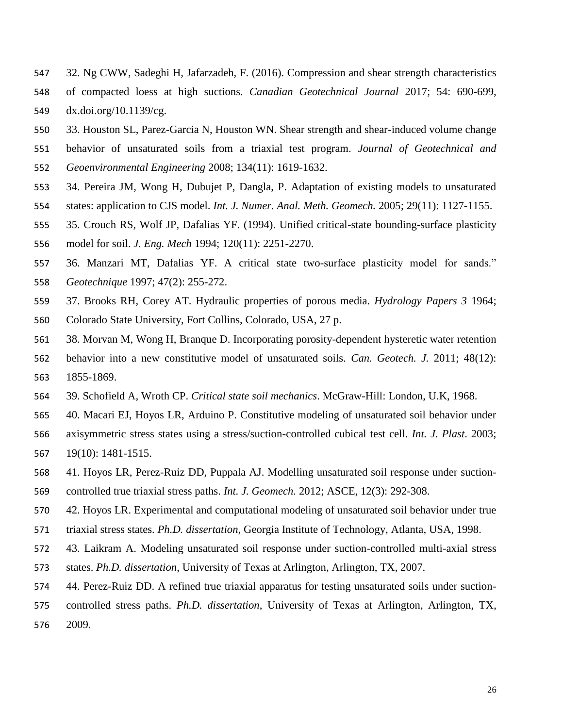- 32. Ng CWW, Sadeghi H, Jafarzadeh, F. (2016). Compression and shear strength characteristics of compacted loess at high suctions. *Canadian Geotechnical Journal* 2017; 54: 690-699, dx.doi.org/10.1139/cg.
- 33. Houston SL, Parez-Garcia N, Houston WN. Shear strength and shear-induced volume change
- behavior of unsaturated soils from a triaxial test program. *Journal of Geotechnical and*
- *Geoenvironmental Engineering* 2008; 134(11): 1619-1632.
- 34. Pereira JM, Wong H, Dubujet P, Dangla, P. Adaptation of existing models to unsaturated states: application to CJS model. *Int. J. Numer. Anal. Meth. Geomech.* 2005; 29(11): 1127-1155.
- 
- 35. Crouch RS, Wolf JP, Dafalias YF. (1994). Unified critical-state bounding-surface plasticity
- model for soil. *J. Eng. Mech* 1994; 120(11): 2251-2270.
- 36. Manzari MT, Dafalias YF. A critical state two-surface plasticity model for sands." *Geotechnique* 1997; 47(2): 255-272.
- 37. Brooks RH, Corey AT. Hydraulic properties of porous media. *Hydrology Papers 3* 1964; Colorado State University, Fort Collins, Colorado, USA, 27 p.
- 38. Morvan M, Wong H, Branque D. Incorporating porosity-dependent hysteretic water retention behavior into a new constitutive model of unsaturated soils. *Can. Geotech. J.* 2011; 48(12): 1855-1869.
- 39. Schofield A, Wroth CP. *Critical state soil mechanics*. McGraw-Hill: London, U.K, 1968.
- 40. Macari EJ, Hoyos LR, Arduino P. Constitutive modeling of unsaturated soil behavior under axisymmetric stress states using a stress/suction-controlled cubical test cell. *Int. J. Plast*. 2003; 19(10): 1481-1515.
- 41. Hoyos LR, Perez-Ruiz DD, Puppala AJ. Modelling unsaturated soil response under suction-controlled true triaxial stress paths. *Int. J. Geomech.* 2012; ASCE, 12(3): 292-308.
- 42. Hoyos LR. Experimental and computational modeling of unsaturated soil behavior under true
- triaxial stress states. *Ph.D. dissertation*, Georgia Institute of Technology, Atlanta, USA, 1998.
- 43. Laikram A. Modeling unsaturated soil response under suction-controlled multi-axial stress
- states. *Ph.D. dissertation*, University of Texas at Arlington, Arlington, TX, 2007.
- 44. Perez-Ruiz DD. A refined true triaxial apparatus for testing unsaturated soils under suction-
- controlled stress paths. *Ph.D. dissertation*, University of Texas at Arlington, Arlington, TX, 2009.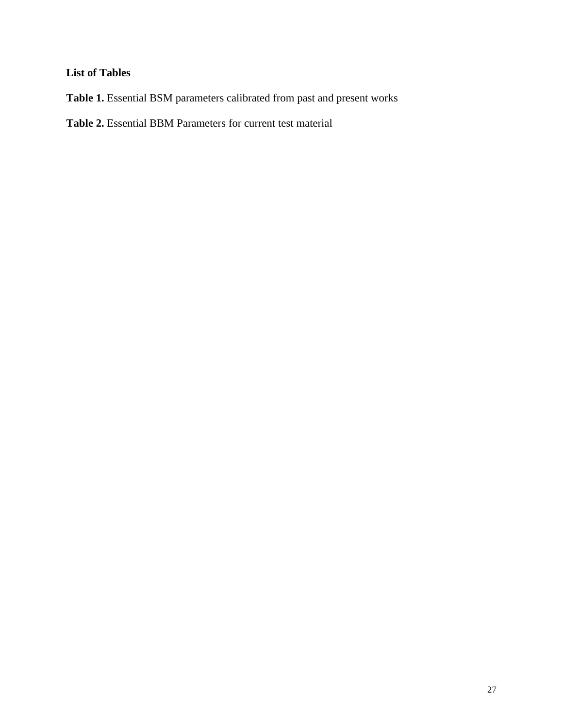## **List of Tables**

**Table 1.** Essential BSM parameters calibrated from past and present works

**Table 2.** Essential BBM Parameters for current test material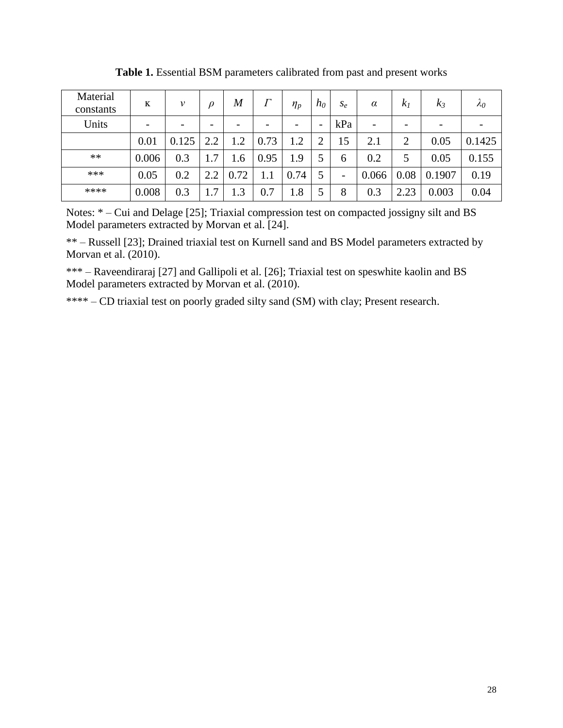| Material<br>constants | K                        | ν                        | D   | $\boldsymbol{M}$ |      | $\eta_p$   | $h_0$ | $S_{\varrho}$ | $\alpha$ | k <sub>1</sub>           | $k_3$  | $\lambda_0$ |
|-----------------------|--------------------------|--------------------------|-----|------------------|------|------------|-------|---------------|----------|--------------------------|--------|-------------|
| Units                 | $\overline{\phantom{a}}$ | $\overline{\phantom{a}}$ | -   |                  | -    | -          | -     | kPa           | -        | $\overline{\phantom{a}}$ | -      |             |
|                       | 0.01                     | 0.125                    | 2.2 | 1.2              | 0.73 | $\cdot$ .2 | ◠     | 15            | 2.1      | $\overline{2}$           | 0.05   | 0.1425      |
| **                    | 0.006                    | 0.3                      | 1.7 | 1.6              | 0.95 | 1.9        | ς     | $\mathfrak b$ | 0.2      | 5                        | 0.05   | 0.155       |
| ***                   | 0.05                     | $0.2\,$                  | 2.2 | 0.72             |      | 0.74       | 5     | -             | 0.066    | 0.08                     | 0.1907 | 0.19        |
| ****                  | 0.008                    | 0.3                      | 7   | $\cdot$ 3        | 0.7  | 1.8        | 5     | 8             | 0.3      | 2.23                     | 0.003  | 0.04        |

**Table 1.** Essential BSM parameters calibrated from past and present works

Notes: \* – Cui and Delage [25]; Triaxial compression test on compacted jossigny silt and BS Model parameters extracted by Morvan et al. [24].

\*\* – Russell [23]; Drained triaxial test on Kurnell sand and BS Model parameters extracted by Morvan et al. (2010).

\*\*\* – Raveendiraraj [27] and Gallipoli et al. [26]; Triaxial test on speswhite kaolin and BS Model parameters extracted by Morvan et al. (2010).

\*\*\*\* – CD triaxial test on poorly graded silty sand (SM) with clay; Present research.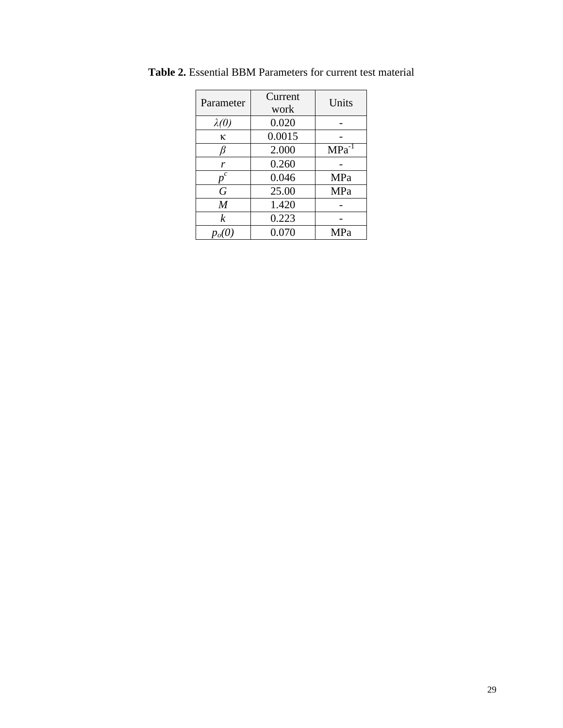| Parameter        | Current<br>work | Units             |  |  |
|------------------|-----------------|-------------------|--|--|
| $\lambda(0)$     | 0.020           |                   |  |  |
| K.               | 0.0015          |                   |  |  |
| ß                | 2.000           | MPa <sup>-1</sup> |  |  |
| r                | 0.260           |                   |  |  |
| $\boldsymbol{c}$ | 0.046           | MPa               |  |  |
| G                | 25.00           | MPa               |  |  |
| $\overline{M}$   | 1.420           |                   |  |  |
| $\boldsymbol{k}$ | 0.223           |                   |  |  |
|                  | 0.070           | MPa               |  |  |

**Table 2.** Essential BBM Parameters for current test material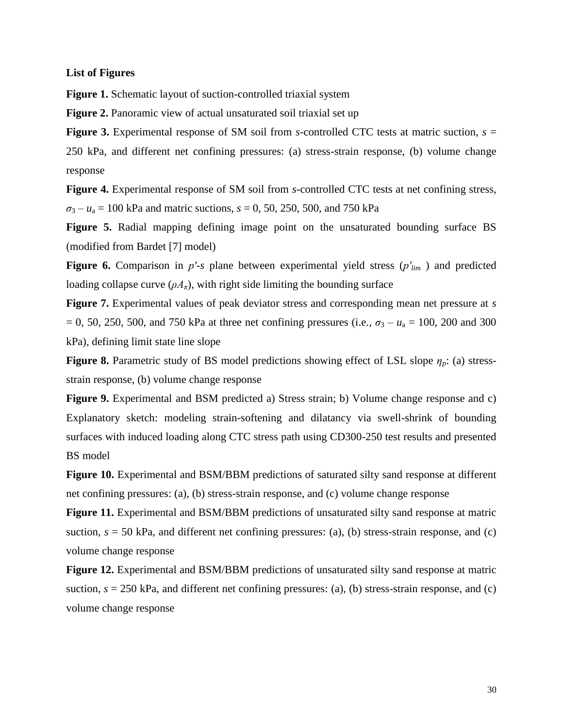#### **List of Figures**

**Figure 1.** Schematic layout of suction-controlled triaxial system

**Figure 2.** Panoramic view of actual unsaturated soil triaxial set up

**Figure 3.** Experimental response of SM soil from *s*-controlled CTC tests at matric suction,  $s =$ 250 kPa, and different net confining pressures: (a) stress-strain response, (b) volume change response

**Figure 4.** Experimental response of SM soil from *s*-controlled CTC tests at net confining stress,  $\sigma_3 - u_a = 100$  kPa and matric suctions,  $s = 0$ , 50, 250, 500, and 750 kPa

**Figure 5.** Radial mapping defining image point on the unsaturated bounding surface BS (modified from Bardet [7] model)

**Figure 6.** Comparison in  $p'$ -*s* plane between experimental yield stress  $(p'_{lim})$  and predicted loading collapse curve  $(\rho A_\pi)$ , with right side limiting the bounding surface

**Figure 7.** Experimental values of peak deviator stress and corresponding mean net pressure at *s*  $= 0$ , 50, 250, 500, and 750 kPa at three net confining pressures (i.e.,  $\sigma_3 - u_a = 100$ , 200 and 300 kPa), defining limit state line slope

**Figure 8.** Parametric study of BS model predictions showing effect of LSL slope *ηp*: (a) stressstrain response, (b) volume change response

**Figure 9.** Experimental and BSM predicted a) Stress strain; b) Volume change response and c) Explanatory sketch: modeling strain-softening and dilatancy via swell-shrink of bounding surfaces with induced loading along CTC stress path using CD300-250 test results and presented BS model

**Figure 10.** Experimental and BSM/BBM predictions of saturated silty sand response at different net confining pressures: (a), (b) stress-strain response, and (c) volume change response

**Figure 11.** Experimental and BSM/BBM predictions of unsaturated silty sand response at matric suction,  $s = 50$  kPa, and different net confining pressures: (a), (b) stress-strain response, and (c) volume change response

**Figure 12.** Experimental and BSM/BBM predictions of unsaturated silty sand response at matric suction,  $s = 250$  kPa, and different net confining pressures: (a), (b) stress-strain response, and (c) volume change response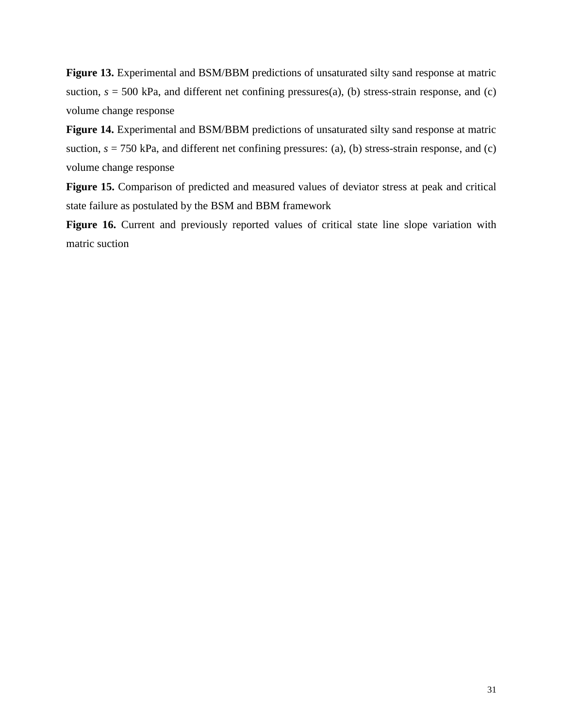**Figure 13.** Experimental and BSM/BBM predictions of unsaturated silty sand response at matric suction,  $s = 500$  kPa, and different net confining pressures(a), (b) stress-strain response, and (c) volume change response

**Figure 14.** Experimental and BSM/BBM predictions of unsaturated silty sand response at matric suction,  $s = 750$  kPa, and different net confining pressures: (a), (b) stress-strain response, and (c) volume change response

**Figure 15.** Comparison of predicted and measured values of deviator stress at peak and critical state failure as postulated by the BSM and BBM framework

Figure 16. Current and previously reported values of critical state line slope variation with matric suction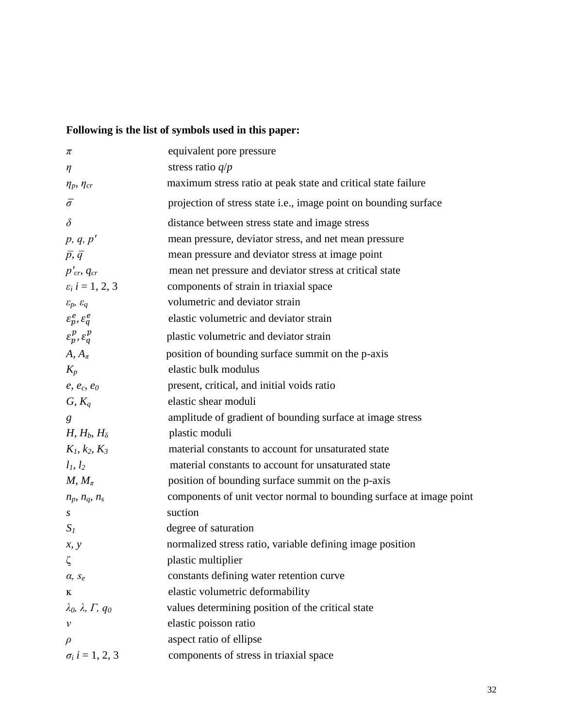## **Following is the list of symbols used in this paper:**

| π                                          | equivalent pore pressure                                            |
|--------------------------------------------|---------------------------------------------------------------------|
| $\eta$                                     | stress ratio $q/p$                                                  |
| $\eta_p$ , $\eta_{cr}$                     | maximum stress ratio at peak state and critical state failure       |
| $\bar{\sigma}$                             | projection of stress state i.e., image point on bounding surface    |
| $\delta$                                   | distance between stress state and image stress                      |
| p, q, p'                                   | mean pressure, deviator stress, and net mean pressure               |
| $\bar{p}, \bar{q}$                         | mean pressure and deviator stress at image point                    |
| $p'_{cr}$ , $q_{cr}$                       | mean net pressure and deviator stress at critical state             |
| $\varepsilon_i$ i = 1, 2, 3                | components of strain in triaxial space                              |
| $\varepsilon_p,\,\varepsilon_q$            | volumetric and deviator strain                                      |
| $\varepsilon_p^e, \varepsilon_q^e$         | elastic volumetric and deviator strain                              |
| $\varepsilon_p^p$ , $\varepsilon_q^p$      | plastic volumetric and deviator strain                              |
| $A, A_\pi$                                 | position of bounding surface summit on the p-axis                   |
| $K_p$                                      | elastic bulk modulus                                                |
| $e, e_c, e_0$                              | present, critical, and initial voids ratio                          |
| $G, K_q$                                   | elastic shear moduli                                                |
| g                                          | amplitude of gradient of bounding surface at image stress           |
| $H, H_b, H_\delta$                         | plastic moduli                                                      |
| $K_1, k_2, K_3$                            | material constants to account for unsaturated state                 |
| $l_1, l_2$                                 | material constants to account for unsaturated state                 |
| $M, M_\pi$                                 | position of bounding surface summit on the p-axis                   |
| $n_p$ , $n_q$ , $n_s$                      | components of unit vector normal to bounding surface at image point |
| S                                          | suction                                                             |
| $S_I$                                      | degree of saturation                                                |
| x, y                                       | normalized stress ratio, variable defining image position           |
| ζ                                          | plastic multiplier                                                  |
| $\alpha$ , $S_e$                           | constants defining water retention curve                            |
| K                                          | elastic volumetric deformability                                    |
| $\lambda_0$ , $\lambda$ , $\Gamma$ , $q_0$ | values determining position of the critical state                   |
| v                                          | elastic poisson ratio                                               |
| $\rho$                                     | aspect ratio of ellipse                                             |
| $\sigma_i$ i = 1, 2, 3                     | components of stress in triaxial space                              |